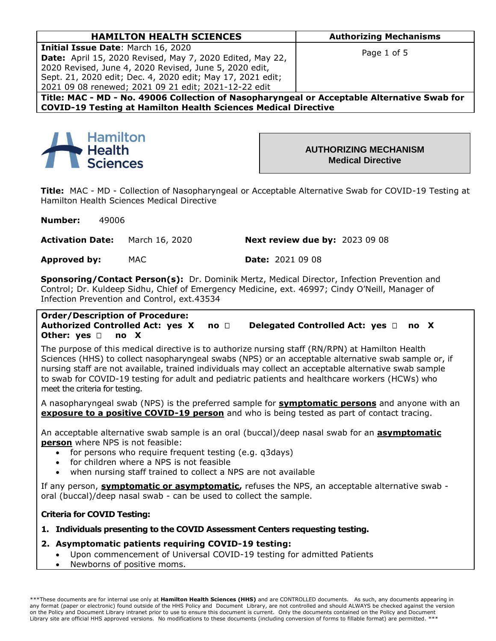| <b>HAMILTON HEALTH SCIENCES</b>                                                             | <b>Authorizing Mechanisms</b> |
|---------------------------------------------------------------------------------------------|-------------------------------|
| <b>Initial Issue Date: March 16, 2020</b>                                                   |                               |
| <b>Date:</b> April 15, 2020 Revised, May 7, 2020 Edited, May 22,                            | Page 1 of 5                   |
| 2020 Revised, June 4, 2020 Revised, June 5, 2020 edit,                                      |                               |
| Sept. 21, 2020 edit; Dec. 4, 2020 edit; May 17, 2021 edit;                                  |                               |
| 2021 09 08 renewed; 2021 09 21 edit; 2021-12-22 edit                                        |                               |
| Title: MAC - MD - No. 49006 Collection of Nasopharyngeal or Acceptable Alternative Swab for |                               |
|                                                                                             |                               |

**COVID-19 Testing at Hamilton Health Sciences Medical Directive**



**AUTHORIZING MECHANISM Medical Directive** 

**Title:** MAC - MD - Collection of Nasopharyngeal or Acceptable Alternative Swab for COVID-19 Testing at Hamilton Health Sciences Medical Directive

**Number:** 49006

**Activation Date:** March 16, 2020 **Next review due by:** 2023 09 08

**Approved by:** MAC **Date:** 2021 09 08

**Sponsoring/Contact Person(s):** Dr. Dominik Mertz, Medical Director, Infection Prevention and Control; Dr. Kuldeep Sidhu, Chief of Emergency Medicine, ext. 46997; Cindy O'Neill, Manager of Infection Prevention and Control, ext.43534

**Order/Description of Procedure: Authorized Controlled Act: yes X no Delegated Controlled Act: yes no X Other: yes no X**

The purpose of this medical directive is to authorize nursing staff (RN/RPN) at Hamilton Health Sciences (HHS) to collect nasopharyngeal swabs (NPS) or an acceptable alternative swab sample or, if nursing staff are not available, trained individuals may collect an acceptable alternative swab sample to swab for COVID-19 testing for adult and pediatric patients and healthcare workers (HCWs) who meet the criteria for testing.

A nasopharyngeal swab (NPS) is the preferred sample for **symptomatic persons** and anyone with an **exposure to a positive COVID-19 person** and who is being tested as part of contact tracing.

An acceptable alternative swab sample is an oral (buccal)/deep nasal swab for an **asymptomatic person** where NPS is not feasible:

- for persons who require frequent testing (e.g. q3days)
- for children where a NPS is not feasible
- when nursing staff trained to collect a NPS are not available

If any person, **symptomatic or asymptomatic,** refuses the NPS, an acceptable alternative swab oral (buccal)/deep nasal swab - can be used to collect the sample.

# **Criteria for COVID Testing:**

- **1. Individuals presenting to the COVID Assessment Centers requesting testing.**
- **2. Asymptomatic patients requiring COVID-19 testing:**
	- Upon commencement of Universal COVID-19 testing for admitted Patients
	- Newborns of positive moms.

\*\*\*These documents are for internal use only at **Hamilton Health Sciences (HHS)** and are CONTROLLED documents. As such, any documents appearing in any format (paper or electronic) found outside of the HHS Policy and Document Library, are not controlled and should ALWAYS be checked against the version on the Policy and Document Library intranet prior to use to ensure this document is current. Only the documents contained on the Policy and Document Library site are official HHS approved versions. No modifications to these documents (including conversion of forms to fillable format) are permitted. \*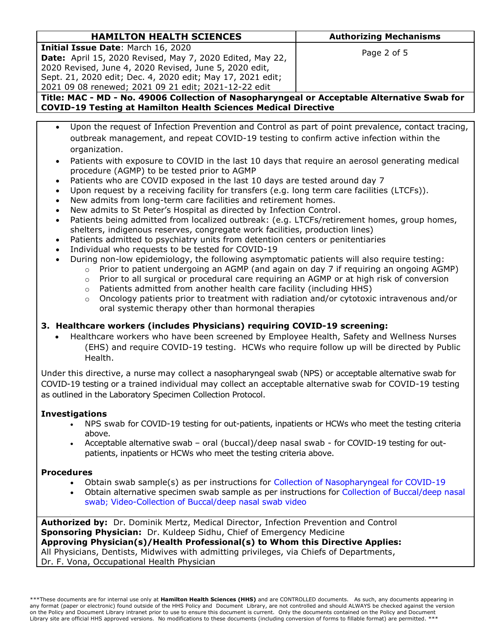| <b>HAMILTON HEALTH SCIENCES</b>                                                             | <b>Authorizing Mechanisms</b> |  |
|---------------------------------------------------------------------------------------------|-------------------------------|--|
| <b>Initial Issue Date: March 16, 2020</b>                                                   |                               |  |
| <b>Date:</b> April 15, 2020 Revised, May 7, 2020 Edited, May 22,                            | Page 2 of 5                   |  |
| 2020 Revised, June 4, 2020 Revised, June 5, 2020 edit,                                      |                               |  |
| Sept. 21, 2020 edit; Dec. 4, 2020 edit; May 17, 2021 edit;                                  |                               |  |
| 2021 09 08 renewed; 2021 09 21 edit; 2021-12-22 edit                                        |                               |  |
| Title: MAC - MD - No. 49006 Collection of Nacepharynooal or Acceptable Alternative Swab for |                               |  |

**Title: MAC - MD - No. 49006 Collection of Nasopharyngeal or Acceptable Alternative Swab for COVID-19 Testing at Hamilton Health Sciences Medical Directive**

- Upon the request of Infection Prevention and Control as part of point prevalence, contact tracing, outbreak management, and repeat COVID-19 testing to confirm active infection within the organization.
- Patients with exposure to COVID in the last 10 days that require an aerosol generating medical procedure (AGMP) to be tested prior to AGMP
- Patients who are COVID exposed in the last 10 days are tested around day 7
- Upon request by a receiving facility for transfers (e.g. long term care facilities (LTCFs)).
- New admits from long-term care facilities and retirement homes.
- New admits to St Peter's Hospital as directed by Infection Control.
- Patients being admitted from localized outbreak: (e.g. LTCFs/retirement homes, group homes, shelters, indigenous reserves, congregate work facilities, production lines)
- Patients admitted to psychiatry units from detention centers or penitentiaries
- Individual who requests to be tested for COVID-19
- During non-low epidemiology, the following asymptomatic patients will also require testing:
	- $\circ$  Prior to patient undergoing an AGMP (and again on day 7 if requiring an ongoing AGMP)
	- o Prior to all surgical or procedural care requiring an AGMP or at high risk of conversion
	- o Patients admitted from another health care facility (including HHS)
	- $\circ$  Oncology patients prior to treatment with radiation and/or cytotoxic intravenous and/or oral systemic therapy other than hormonal therapies

# **3. Healthcare workers (includes Physicians) requiring COVID-19 screening:**

 Healthcare workers who have been screened by Employee Health, Safety and Wellness Nurses (EHS) and require COVID-19 testing. HCWs who require follow up will be directed by Public Health.

Under this directive, a nurse may collect a nasopharyngeal swab (NPS) or acceptable alternative swab for COVID-19 testing or a trained individual may collect an acceptable alternative swab for COVID-19 testing as outlined in the Laboratory Specimen Collection Protocol.

## **Investigations**

- NPS swab for COVID-19 testing for out-patients, inpatients or HCWs who meet the testing criteria above.
- Acceptable alternative swab oral (buccal)/deep nasal swab for COVID-19 testing for outpatients, inpatients or HCWs who meet the testing criteria above.

## **Procedures**

- Obtain swab sample(s) as per instructions for [Collection of Nasopharyngeal for COVID-19](https://ltig.hrlmp.ca/Memos_Notes/CollectingNPS.pdf)
- Obtain alternative specimen swab sample as per instructions for [Collection of Buccal/deep nasal](https://www.publichealthontario.ca/en/laboratory-services/kit-test-ordering-instructions/oral-buccal-deep-nasal)  [swab](https://www.publichealthontario.ca/en/laboratory-services/kit-test-ordering-instructions/oral-buccal-deep-nasal); [Video-Collection of Buccal/deep](https://urldefense.com/v3/__https:/youtu.be/A9MhL5qkI7M__;!!JB7FzA!ZA8p190Td9gZjd6Sf23egVQCg3DVimIUAAeWXN0OG_w8Z-dhfJ0D4G2l2CCygQ$) nasal swab video

**Authorized by:** Dr. Dominik Mertz, Medical Director, Infection Prevention and Control **Sponsoring Physician:** Dr. Kuldeep Sidhu, Chief of Emergency Medicine **Approving Physician(s)/Health Professional(s) to Whom this Directive Applies:** All Physicians, Dentists, Midwives with admitting privileges, via Chiefs of Departments, Dr. F. Vona, Occupational Health Physician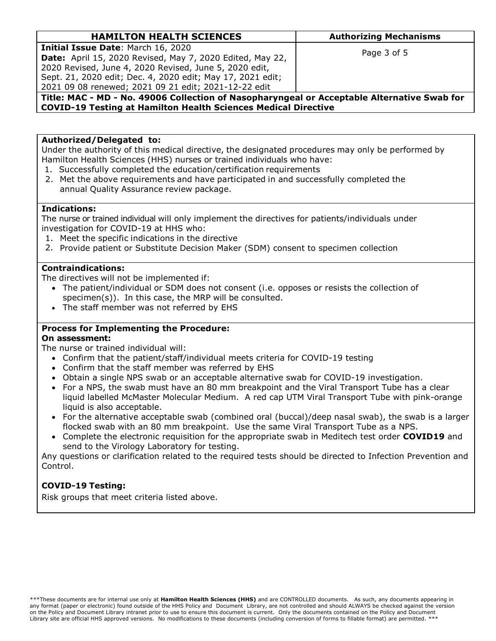| <b>HAMILTON HEALTH SCIENCES</b>                                                                                                                                                                                                                                                        | <b>Authorizing Mechanisms</b> |  |
|----------------------------------------------------------------------------------------------------------------------------------------------------------------------------------------------------------------------------------------------------------------------------------------|-------------------------------|--|
| Initial Issue Date: March 16, 2020<br><b>Date:</b> April 15, 2020 Revised, May 7, 2020 Edited, May 22,<br>2020 Revised, June 4, 2020 Revised, June 5, 2020 edit,<br>Sept. 21, 2020 edit; Dec. 4, 2020 edit; May 17, 2021 edit;<br>2021 09 08 renewed; 2021 09 21 edit; 2021-12-22 edit | Page 3 of 5                   |  |
| Title: MAC - MD - No. 49006 Collection of Nasopharyngeal or Acceptable Alternative Swab for                                                                                                                                                                                            |                               |  |

**COVID-19 Testing at Hamilton Health Sciences Medical Directive**

### **Authorized/Delegated to:**

Under the authority of this medical directive, the designated procedures may only be performed by Hamilton Health Sciences (HHS) nurses or trained individuals who have:

- 1. Successfully completed the education/certification requirements
- 2. Met the above requirements and have participated in and successfully completed the annual Quality Assurance review package.

#### **Indications:**

The nurse or trained individual will only implement the directives for patients/individuals under investigation for COVID-19 at HHS who:

- 1. Meet the specific indications in the directive
- 2. Provide patient or Substitute Decision Maker (SDM) consent to specimen collection

### **Contraindications:**

The directives will not be implemented if:

- The patient/individual or SDM does not consent (i.e. opposes or resists the collection of specimen(s)). In this case, the MRP will be consulted.
- The staff member was not referred by EHS

## **Process for Implementing the Procedure:**

### **On assessment:**

The nurse or trained individual will:

- Confirm that the patient/staff/individual meets criteria for COVID-19 testing
- Confirm that the staff member was referred by EHS
- Obtain a single NPS swab or an acceptable alternative swab for COVID-19 investigation.
- For a NPS, the swab must have an 80 mm breakpoint and the Viral Transport Tube has a clear liquid labelled McMaster Molecular Medium. A red cap UTM Viral Transport Tube with pink-orange liquid is also acceptable.
- For the alternative acceptable swab (combined oral (buccal)/deep nasal swab), the swab is a larger flocked swab with an 80 mm breakpoint. Use the same Viral Transport Tube as a NPS.
- Complete the electronic requisition for the appropriate swab in Meditech test order **COVID19** and send to the Virology Laboratory for testing.

Any questions or clarification related to the required tests should be directed to Infection Prevention and Control.

# **COVID-19 Testing:**

Risk groups that meet criteria listed above.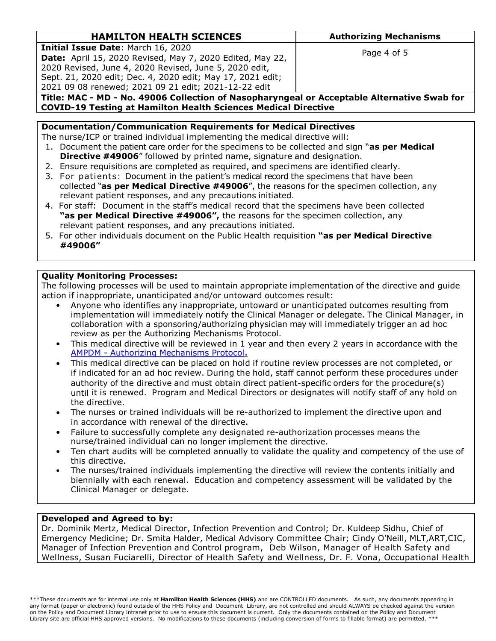| <b>HAMILTON HEALTH SCIENCES</b>                                                        | <b>Authorizing Mechanisms</b> |  |
|----------------------------------------------------------------------------------------|-------------------------------|--|
| <b>Initial Issue Date: March 16, 2020</b>                                              |                               |  |
| <b>Date:</b> April 15, 2020 Revised, May 7, 2020 Edited, May 22,                       | Page 4 of 5                   |  |
| 2020 Revised, June 4, 2020 Revised, June 5, 2020 edit,                                 |                               |  |
| Sept. 21, 2020 edit; Dec. 4, 2020 edit; May 17, 2021 edit;                             |                               |  |
| 2021 09 08 renewed; 2021 09 21 edit; 2021-12-22 edit                                   |                               |  |
| Title: MAC MD Ne 4000C Calleghian of Negoulommaged on Agogateble Alternative Cural for |                               |  |

**Title: MAC - MD - No. 49006 Collection of Nasopharyngeal or Acceptable Alternative Swab for COVID-19 Testing at Hamilton Health Sciences Medical Directive**

#### **Documentation/Communication Requirements for Medical Directives**

The nurse/ICP or trained individual implementing the medical directive will:

- 1. Document the patient care order for the specimens to be collected and sign "**as per Medical Directive #49006**" followed by printed name, signature and designation.
- 2. Ensure requisitions are completed as required, and specimens are identified clearly.
- 3. For patients: Document in the patient's medical record the specimens that have been collected "**as per Medical Directive #49006**", the reasons for the specimen collection, any relevant patient responses, and any precautions initiated.
- 4. For staff: Document in the staff's medical record that the specimens have been collected **"as per Medical Directive #49006",** the reasons for the specimen collection, any relevant patient responses, and any precautions initiated.
- 5. For other individuals document on the Public Health requisition **"as per Medical Directive #49006"**

### **Quality Monitoring Processes:**

The following processes will be used to maintain appropriate implementation of the directive and guide action if inappropriate, unanticipated and/or untoward outcomes result:

- Anyone who identifies any inappropriate, untoward or unanticipated outcomes resulting from implementation will immediately notify the Clinical Manager or delegate. The Clinical Manager, in collaboration with a sponsoring/authorizing physician may will immediately trigger an ad hoc review as per the Authorizing Mechanisms Protocol.
- This medical directive will be reviewed in 1 year and then every 2 years in accordance with the AMPDM - [Authorizing Mechanisms Protocol](http://policy.hhsc.ca/Site_Published/hhsc/document_render.aspx?documentRender.IdType=6&documentRender.GenericField=&documentRender.Id=77065)**.**
- This medical directive can be placed on hold if routine review processes are not completed, or if indicated for an ad hoc review. During the hold, staff cannot perform these procedures under authority of the directive and must obtain direct patient-specific orders for the procedure(s) until it is renewed. Program and Medical Directors or designates will notify staff of any hold on the directive.
- The nurses or trained individuals will be re-authorized to implement the directive upon and in accordance with renewal of the directive.
- Failure to successfully complete any designated re-authorization processes means the nurse/trained individual can no longer implement the directive.
- Ten chart audits will be completed annually to validate the quality and competency of the use of this directive.
- The nurses/trained individuals implementing the directive will review the contents initially and biennially with each renewal. Education and competency assessment will be validated by the Clinical Manager or delegate.

## **Developed and Agreed to by:**

Dr. Dominik Mertz, Medical Director, Infection Prevention and Control; Dr. Kuldeep Sidhu, Chief of Emergency Medicine; Dr. Smita Halder, Medical Advisory Committee Chair; Cindy O'Neill, MLT,ART,CIC, Manager of Infection Prevention and Control program, Deb Wilson, Manager of Health Safety and Wellness, Susan Fuciarelli, Director of Health Safety and Wellness, Dr. F. Vona, Occupational Health